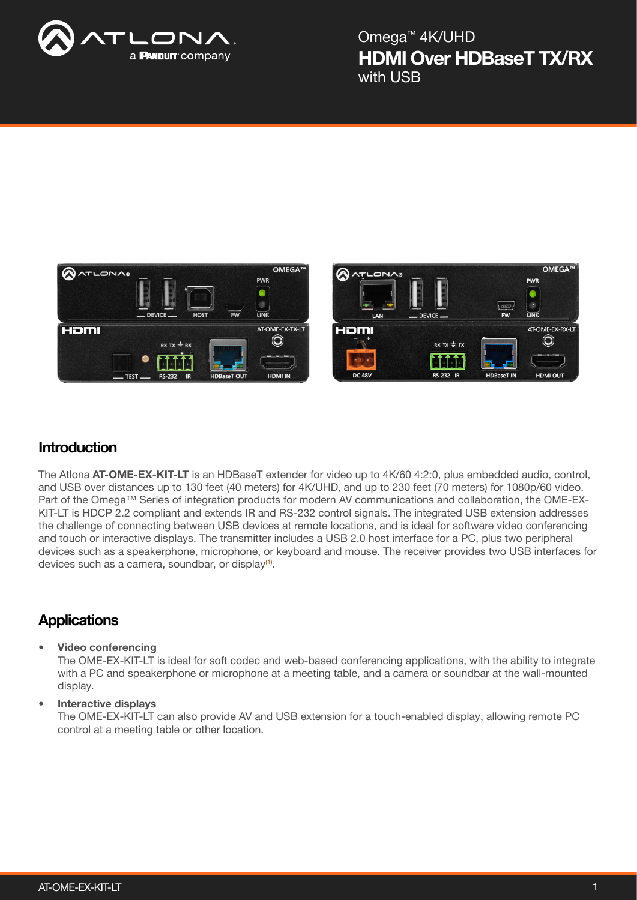

HDMI Over HDBaseT TX/RX Omega™ 4K/UHD with USB





### **Introduction**

The Atlona AT-OME-EX-KIT-LT is an HDBaseT extender for video up to  $4K/60$  4:2:0, plus embedded audio, control, and USB over distances up to 130 feet (40 meters) for 4K/UHD, and up to 230 feet (70 meters) for 1080p/60 video. Part of the Omega™ Series of integration products for modern AV communications and collaboration, the OME-EX-KIT-LT is HDCP 2.2 compliant and extends IR and RS-232 control signals. The integrated USB extension addresses the challenge of connecting between USB devices at remote locations, and is ideal for software video conferencing and touch or interactive displays. The transmitter includes a USB 2.0 host interface for a PC, plus two peripheral devices such as a speakerphone, microphone, or keyboard and mouse. The receiver provides two USB interfaces for devices such as a camera, soundbar, or display<sup>(1)</sup>.

## **Applications**

#### • Video conferencing

The OME-EX-KIT-LT is ideal for soft codec and web-based conferencing applications, with the ability to integrate with a PC and speakerphone or microphone at a meeting table, and a camera or soundbar at the wall-mounted display.

#### • Interactive displays

The OME-EX-KIT-LT can also provide AV and USB extension for a touch-enabled display, allowing remote PC control at a meeting table or other location.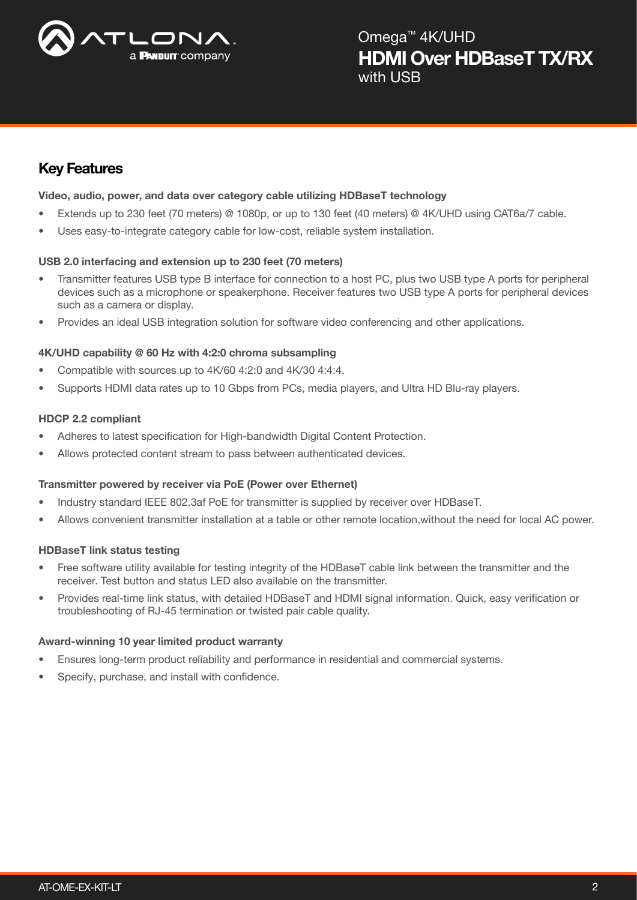

## Key Features

#### Video, audio, power, and data over category cable utilizing HDBaseT technology

- Extends up to 230 feet (70 meters) @ 1080p, or up to 130 feet (40 meters) @ 4K/UHD using CAT6a/7 cable.
- Uses easy-to-integrate category cable for low-cost, reliable system installation.

#### USB 2.0 interfacing and extension up to 230 feet (70 meters)

- Transmitter features USB type B interface for connection to a host PC, plus two USB type A ports for peripheral devices such as a microphone or speakerphone. Receiver features two USB type A ports for peripheral devices such as a camera or display.
- Provides an ideal USB integration solution for software video conferencing and other applications.

#### 4K/UHD capability @ 60 Hz with 4:2:0 chroma subsampling

- Compatible with sources up to 4K/60 4:2:0 and 4K/30 4:4:4.
- Supports HDMI data rates up to 10 Gbps from PCs, media players, and Ultra HD Blu-ray players.

#### HDCP 2.2 compliant

- Adheres to latest specification for High-bandwidth Digital Content Protection.
- Allows protected content stream to pass between authenticated devices.

#### Transmitter powered by receiver via PoE (Power over Ethernet)

- Industry standard IEEE 802.3af PoE for transmitter is supplied by receiver over HDBaseT.
- Allows convenient transmitter installation at a table or other remote location,without the need for local AC power.

#### HDBaseT link status testing

- Free software utility available for testing integrity of the HDBaseT cable link between the transmitter and the receiver. Test button and status LED also available on the transmitter.
- Provides real-time link status, with detailed HDBaseT and HDMI signal information. Quick, easy verification or troubleshooting of RJ-45 termination or twisted pair cable quality.

#### Award-winning 10 year limited product warranty

- Ensures long-term product reliability and performance in residential and commercial systems.
- Specify, purchase, and install with confidence.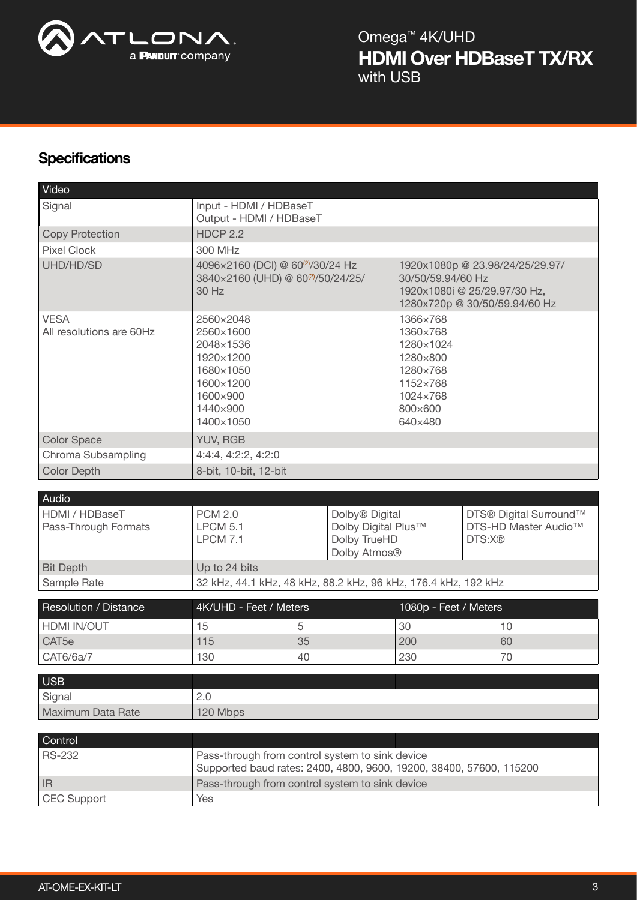

## **Specifications**

| Video                                   |                                                                                                                        |    |                                                                                                         |                                                                                                                       |                                                                      |    |
|-----------------------------------------|------------------------------------------------------------------------------------------------------------------------|----|---------------------------------------------------------------------------------------------------------|-----------------------------------------------------------------------------------------------------------------------|----------------------------------------------------------------------|----|
| Signal                                  | Input - HDMI / HDBaseT<br>Output - HDMI / HDBaseT                                                                      |    |                                                                                                         |                                                                                                                       |                                                                      |    |
| <b>Copy Protection</b>                  | <b>HDCP 2.2</b>                                                                                                        |    |                                                                                                         |                                                                                                                       |                                                                      |    |
| <b>Pixel Clock</b>                      | 300 MHz                                                                                                                |    |                                                                                                         |                                                                                                                       |                                                                      |    |
| UHD/HD/SD                               | 4096×2160 (DCI) @ 60 <sup>(2)</sup> /30/24 Hz<br>3840×2160 (UHD) @ 60 <sup>(2)</sup> /50/24/25/<br>30 Hz               |    |                                                                                                         | 1920x1080p @ 23.98/24/25/29.97/<br>30/50/59.94/60 Hz<br>1920x1080i @ 25/29.97/30 Hz,<br>1280x720p @ 30/50/59.94/60 Hz |                                                                      |    |
| <b>VESA</b><br>All resolutions are 60Hz | 2560×2048<br>2560×1600<br>2048×1536<br>1920×1200<br>1680×1050<br>1600×1200<br>1600×900<br>1440×900<br>1400×1050        |    | 1366×768<br>1360×768<br>1280×1024<br>1280×800<br>1280×768<br>1152×768<br>1024×768<br>800×600<br>640×480 |                                                                                                                       |                                                                      |    |
| <b>Color Space</b>                      | <b>YUV, RGB</b>                                                                                                        |    |                                                                                                         |                                                                                                                       |                                                                      |    |
| Chroma Subsampling                      | 4:4:4, 4:2:2, 4:2:0                                                                                                    |    |                                                                                                         |                                                                                                                       |                                                                      |    |
| <b>Color Depth</b>                      | 8-bit, 10-bit, 12-bit                                                                                                  |    |                                                                                                         |                                                                                                                       |                                                                      |    |
|                                         |                                                                                                                        |    |                                                                                                         |                                                                                                                       |                                                                      |    |
| Audio                                   |                                                                                                                        |    |                                                                                                         |                                                                                                                       |                                                                      |    |
| HDMI / HDBaseT<br>Pass-Through Formats  | <b>PCM 2.0</b><br><b>LPCM 5.1</b><br><b>LPCM 7.1</b>                                                                   |    | Dolby <sup>®</sup> Digital<br>Dolby Digital Plus™<br>Dolby TrueHD<br>Dolby Atmos®                       |                                                                                                                       | DTS® Digital Surround™<br>DTS-HD Master Audio <sup>™</sup><br>DTS:X® |    |
| <b>Bit Depth</b>                        | Up to 24 bits                                                                                                          |    |                                                                                                         |                                                                                                                       |                                                                      |    |
| Sample Rate                             | 32 kHz, 44.1 kHz, 48 kHz, 88.2 kHz, 96 kHz, 176.4 kHz, 192 kHz                                                         |    |                                                                                                         |                                                                                                                       |                                                                      |    |
|                                         |                                                                                                                        |    |                                                                                                         |                                                                                                                       |                                                                      |    |
| Resolution / Distance                   | 4K/UHD - Feet / Meters                                                                                                 |    |                                                                                                         | 1080p - Feet / Meters                                                                                                 |                                                                      |    |
| HDMI IN/OUT                             | 15                                                                                                                     | 5  |                                                                                                         | 30                                                                                                                    |                                                                      | 10 |
| CAT <sub>5e</sub>                       | 115                                                                                                                    | 35 |                                                                                                         | 200                                                                                                                   |                                                                      | 60 |
| CAT6/6a/7                               | 130                                                                                                                    | 40 |                                                                                                         | 230                                                                                                                   |                                                                      | 70 |
| <b>USB</b>                              |                                                                                                                        |    |                                                                                                         |                                                                                                                       |                                                                      |    |
| Signal                                  | 2.0                                                                                                                    |    |                                                                                                         |                                                                                                                       |                                                                      |    |
| Maximum Data Rate                       | 120 Mbps                                                                                                               |    |                                                                                                         |                                                                                                                       |                                                                      |    |
|                                         |                                                                                                                        |    |                                                                                                         |                                                                                                                       |                                                                      |    |
| Control                                 |                                                                                                                        |    |                                                                                                         |                                                                                                                       |                                                                      |    |
| <b>RS-232</b>                           | Pass-through from control system to sink device<br>Supported baud rates: 2400, 4800, 9600, 19200, 38400, 57600, 115200 |    |                                                                                                         |                                                                                                                       |                                                                      |    |
| IR.                                     | Pass-through from control system to sink device                                                                        |    |                                                                                                         |                                                                                                                       |                                                                      |    |
| <b>CEC Support</b>                      | Yes                                                                                                                    |    |                                                                                                         |                                                                                                                       |                                                                      |    |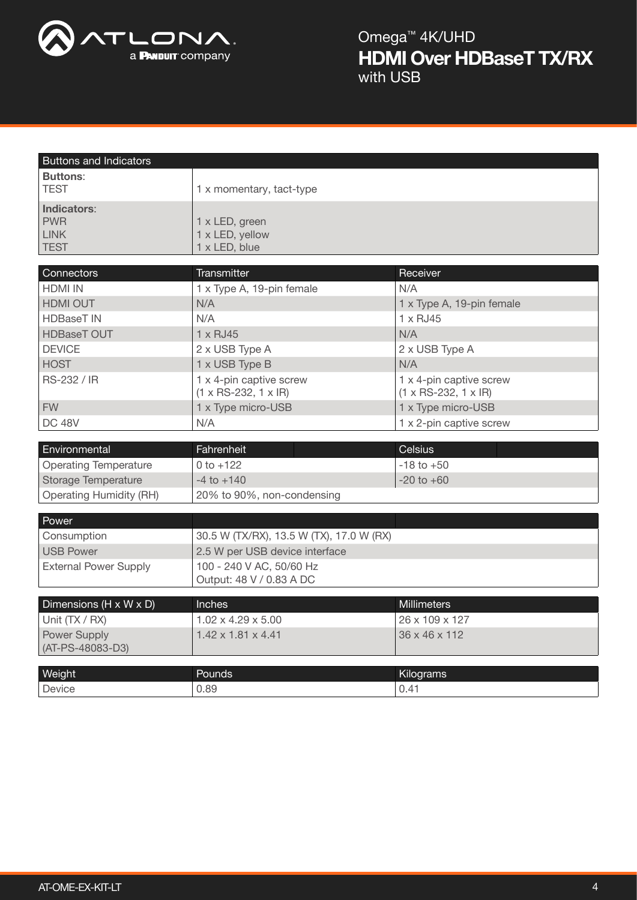

| <b>Buttons and Indicators</b>      |                                                                  |                                  |  |  |  |  |
|------------------------------------|------------------------------------------------------------------|----------------------------------|--|--|--|--|
| <b>Buttons:</b>                    |                                                                  |                                  |  |  |  |  |
| <b>TEST</b>                        | 1 x momentary, tact-type                                         |                                  |  |  |  |  |
| Indicators:                        |                                                                  |                                  |  |  |  |  |
| <b>PWR</b>                         | 1 x LED, green                                                   |                                  |  |  |  |  |
| <b>LINK</b>                        | 1 x LED, yellow                                                  |                                  |  |  |  |  |
| <b>TEST</b>                        | 1 x LED, blue                                                    |                                  |  |  |  |  |
| Connectors                         | Transmitter                                                      | Receiver                         |  |  |  |  |
| <b>HDMI IN</b>                     | 1 x Type A, 19-pin female                                        | N/A                              |  |  |  |  |
| <b>HDMI OUT</b>                    | N/A                                                              | 1 x Type A, 19-pin female        |  |  |  |  |
| <b>HDBaseT IN</b>                  | N/A                                                              | $1 \times RJ45$                  |  |  |  |  |
| <b>HDBaseT OUT</b>                 | 1 x RJ45                                                         | N/A                              |  |  |  |  |
| <b>DEVICE</b>                      | 2 x USB Type A                                                   | 2 x USB Type A                   |  |  |  |  |
| <b>HOST</b>                        | 1 x USB Type B                                                   | N/A                              |  |  |  |  |
| RS-232 / IR                        | 1 x 4-pin captive screw                                          | 1 x 4-pin captive screw          |  |  |  |  |
|                                    | $(1 \times RS-232, 1 \times IR)$                                 | $(1 \times RS-232, 1 \times IR)$ |  |  |  |  |
| <b>FW</b>                          | 1 x Type micro-USB                                               | 1 x Type micro-USB               |  |  |  |  |
| <b>DC 48V</b>                      | N/A                                                              | 1 x 2-pin captive screw          |  |  |  |  |
|                                    |                                                                  |                                  |  |  |  |  |
| Environmental                      | Fahrenheit                                                       | <b>Celsius</b>                   |  |  |  |  |
| <b>Operating Temperature</b>       | $0 to +122$                                                      | $-18$ to $+50$                   |  |  |  |  |
| <b>Storage Temperature</b>         | $-4$ to $+140$                                                   | $-20$ to $+60$                   |  |  |  |  |
| <b>Operating Humidity (RH)</b>     | 20% to 90%, non-condensing                                       |                                  |  |  |  |  |
| Power                              |                                                                  |                                  |  |  |  |  |
| Consumption                        | 30.5 W (TX/RX), 13.5 W (TX), 17.0 W (RX)                         |                                  |  |  |  |  |
| <b>USB Power</b>                   | 2.5 W per USB device interface                                   |                                  |  |  |  |  |
| <b>External Power Supply</b>       | 100 - 240 V AC, 50/60 Hz                                         |                                  |  |  |  |  |
|                                    | Output: 48 V / 0.83 A DC                                         |                                  |  |  |  |  |
|                                    |                                                                  |                                  |  |  |  |  |
| Dimensions $(H \times W \times D)$ | <b>Inches</b>                                                    | Millimeters<br>26 x 109 x 127    |  |  |  |  |
| Unit (TX / RX)<br>Power Supply     | $1.02 \times 4.29 \times 5.00$<br>$1.42 \times 1.81 \times 4.41$ | 36 x 46 x 112                    |  |  |  |  |
| (AT-PS-48083-D3)                   |                                                                  |                                  |  |  |  |  |
|                                    |                                                                  |                                  |  |  |  |  |
| Weight                             | Pounds                                                           | Kilograms                        |  |  |  |  |
| Device                             | 0.89                                                             | 0.41                             |  |  |  |  |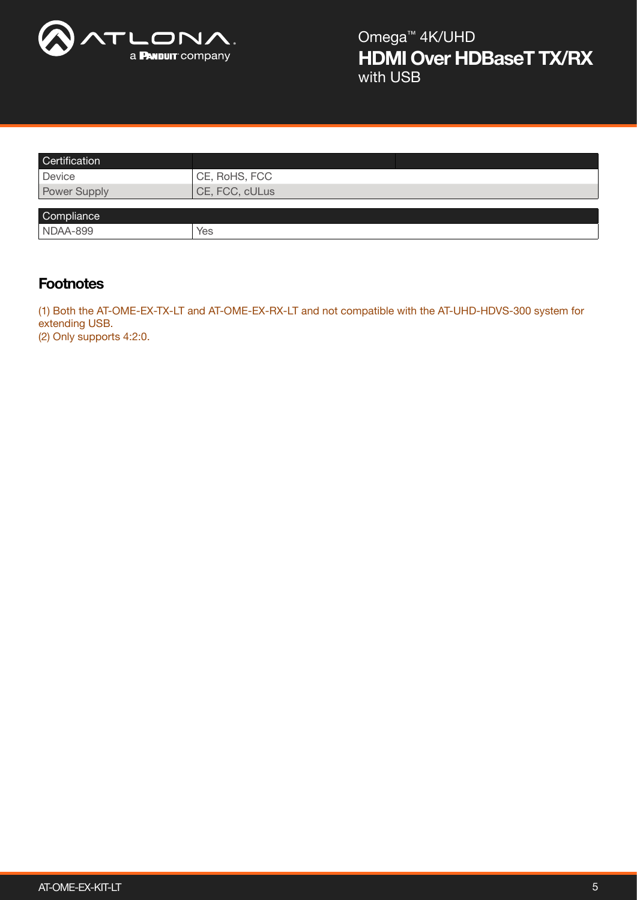

| Certification |                |
|---------------|----------------|
| Device        | CE, RoHS, FCC  |
| Power Supply  | CE, FCC, cULus |
| Compliance    |                |
| NDAA-899      | Yes            |

### **Footnotes**

(1) Both the AT-OME-EX-TX-LT and AT-OME-EX-RX-LT and not compatible with the AT-UHD-HDVS-300 system for extending USB. (2) Only supports 4:2:0.